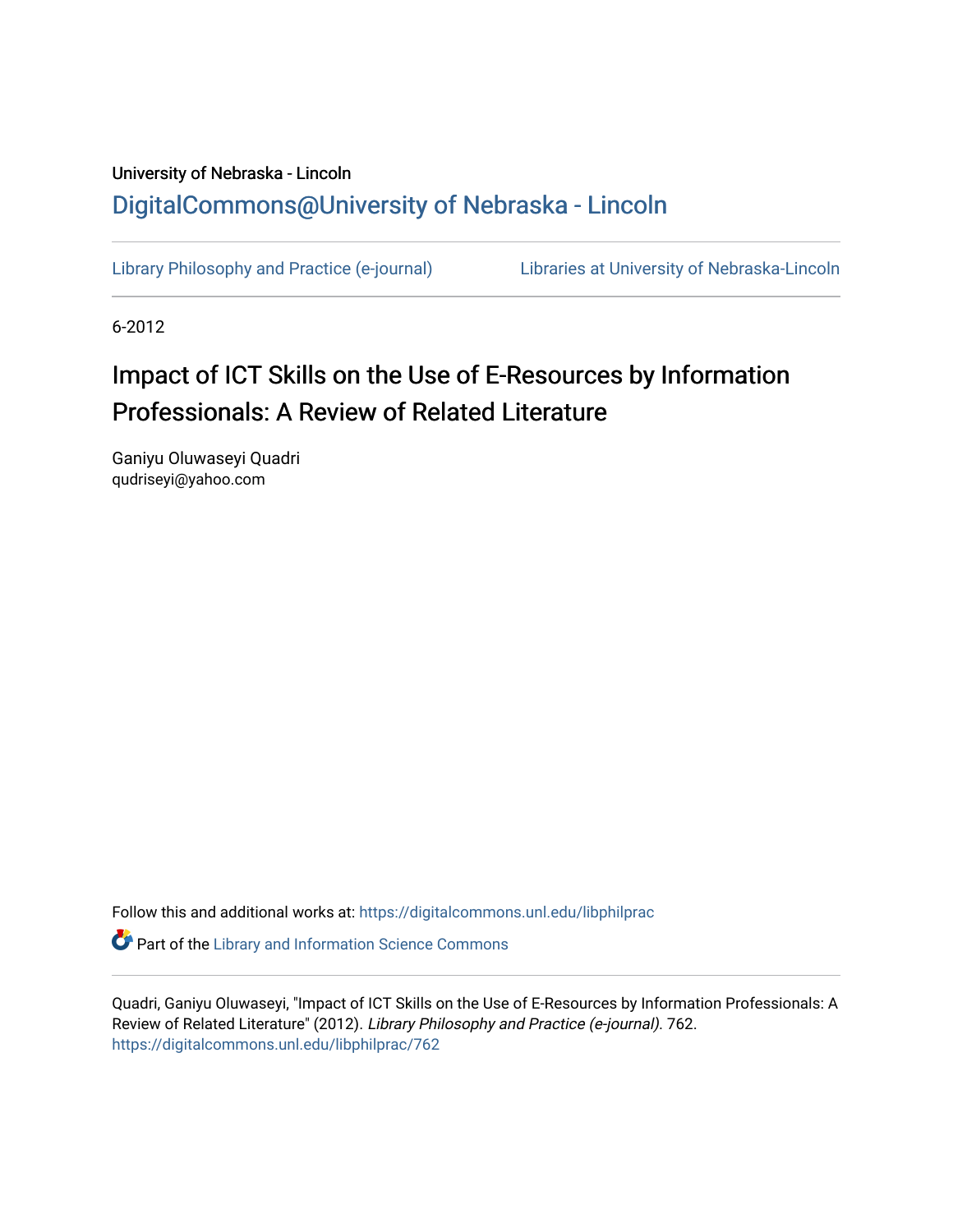## University of Nebraska - Lincoln [DigitalCommons@University of Nebraska - Lincoln](https://digitalcommons.unl.edu/)

[Library Philosophy and Practice \(e-journal\)](https://digitalcommons.unl.edu/libphilprac) [Libraries at University of Nebraska-Lincoln](https://digitalcommons.unl.edu/libraries) 

6-2012

## Impact of ICT Skills on the Use of E-Resources by Information Professionals: A Review of Related Literature

Ganiyu Oluwaseyi Quadri qudriseyi@yahoo.com

Follow this and additional works at: [https://digitalcommons.unl.edu/libphilprac](https://digitalcommons.unl.edu/libphilprac?utm_source=digitalcommons.unl.edu%2Flibphilprac%2F762&utm_medium=PDF&utm_campaign=PDFCoverPages) 

**C** Part of the Library and Information Science Commons

Quadri, Ganiyu Oluwaseyi, "Impact of ICT Skills on the Use of E-Resources by Information Professionals: A Review of Related Literature" (2012). Library Philosophy and Practice (e-journal). 762. [https://digitalcommons.unl.edu/libphilprac/762](https://digitalcommons.unl.edu/libphilprac/762?utm_source=digitalcommons.unl.edu%2Flibphilprac%2F762&utm_medium=PDF&utm_campaign=PDFCoverPages)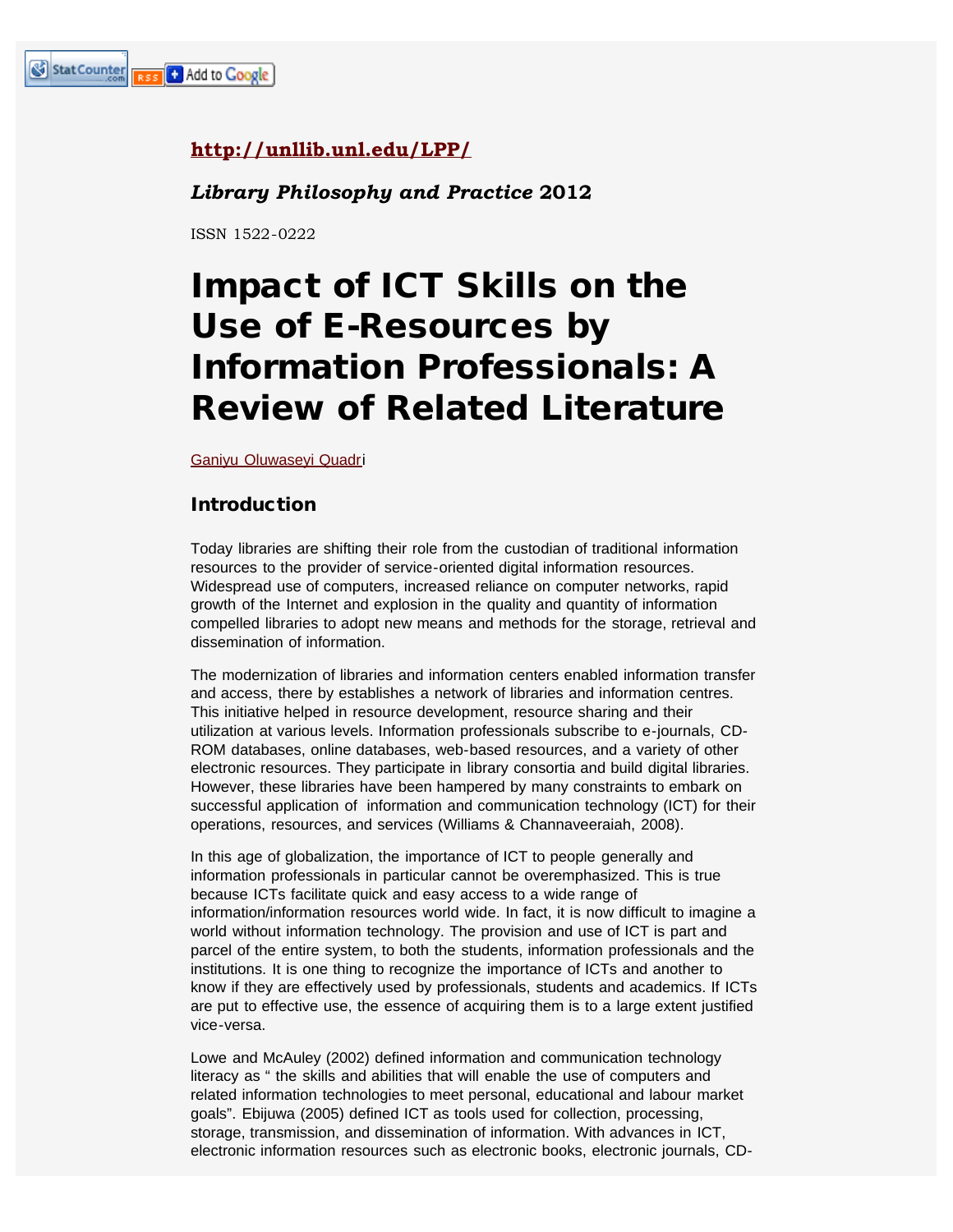### **<http://unllib.unl.edu/LPP/>**

#### *Library Philosophy and Practice* **2012**

ISSN 1522-0222

# Impact of ICT Skills on the Use of E-Resources by Information Professionals: A Review of Related Literature

[Ganiyu Oluwaseyi Quadri](mailto:qudriseyi@yahoo.com)

#### Introduction

Today libraries are shifting their role from the custodian of traditional information resources to the provider of service-oriented digital information resources. Widespread use of computers, increased reliance on computer networks, rapid growth of the Internet and explosion in the quality and quantity of information compelled libraries to adopt new means and methods for the storage, retrieval and dissemination of information.

The modernization of libraries and information centers enabled information transfer and access, there by establishes a network of libraries and information centres. This initiative helped in resource development, resource sharing and their utilization at various levels. Information professionals subscribe to e-journals, CD-ROM databases, online databases, web-based resources, and a variety of other electronic resources. They participate in library consortia and build digital libraries. However, these libraries have been hampered by many constraints to embark on successful application of information and communication technology (ICT) for their operations, resources, and services (Williams & Channaveeraiah, 2008).

In this age of globalization, the importance of ICT to people generally and information professionals in particular cannot be overemphasized. This is true because ICTs facilitate quick and easy access to a wide range of information/information resources world wide. In fact, it is now difficult to imagine a world without information technology. The provision and use of ICT is part and parcel of the entire system, to both the students, information professionals and the institutions. It is one thing to recognize the importance of ICTs and another to know if they are effectively used by professionals, students and academics. If ICTs are put to effective use, the essence of acquiring them is to a large extent justified vice-versa.

Lowe and McAuley (2002) defined information and communication technology literacy as " the skills and abilities that will enable the use of computers and related information technologies to meet personal, educational and labour market goals". Ebijuwa (2005) defined ICT as tools used for collection, processing, storage, transmission, and dissemination of information. With advances in ICT, electronic information resources such as electronic books, electronic journals, CD-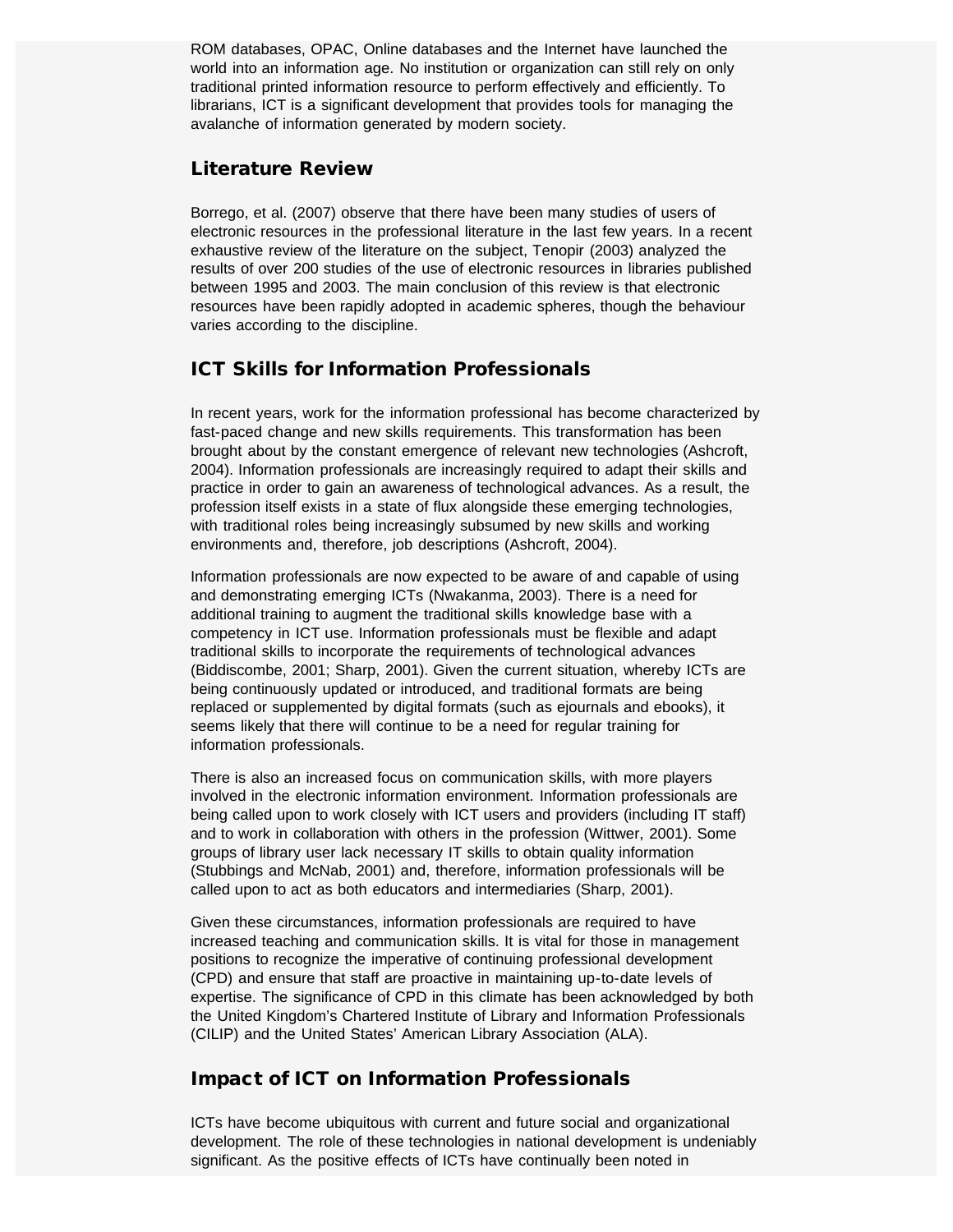ROM databases, OPAC, Online databases and the Internet have launched the world into an information age. No institution or organization can still rely on only traditional printed information resource to perform effectively and efficiently. To librarians, ICT is a significant development that provides tools for managing the avalanche of information generated by modern society.

#### Literature Review

Borrego, et al. (2007) observe that there have been many studies of users of electronic resources in the professional literature in the last few years. In a recent exhaustive review of the literature on the subject, Tenopir (2003) analyzed the results of over 200 studies of the use of electronic resources in libraries published between 1995 and 2003. The main conclusion of this review is that electronic resources have been rapidly adopted in academic spheres, though the behaviour varies according to the discipline.

#### ICT Skills for Information Professionals

In recent years, work for the information professional has become characterized by fast-paced change and new skills requirements. This transformation has been brought about by the constant emergence of relevant new technologies (Ashcroft, 2004). Information professionals are increasingly required to adapt their skills and practice in order to gain an awareness of technological advances. As a result, the profession itself exists in a state of flux alongside these emerging technologies, with traditional roles being increasingly subsumed by new skills and working environments and, therefore, job descriptions (Ashcroft, 2004).

Information professionals are now expected to be aware of and capable of using and demonstrating emerging ICTs (Nwakanma, 2003). There is a need for additional training to augment the traditional skills knowledge base with a competency in ICT use. Information professionals must be flexible and adapt traditional skills to incorporate the requirements of technological advances (Biddiscombe, 2001; Sharp, 2001). Given the current situation, whereby ICTs are being continuously updated or introduced, and traditional formats are being replaced or supplemented by digital formats (such as ejournals and ebooks), it seems likely that there will continue to be a need for regular training for information professionals.

There is also an increased focus on communication skills, with more players involved in the electronic information environment. Information professionals are being called upon to work closely with ICT users and providers (including IT staff) and to work in collaboration with others in the profession (Wittwer, 2001). Some groups of library user lack necessary IT skills to obtain quality information (Stubbings and McNab, 2001) and, therefore, information professionals will be called upon to act as both educators and intermediaries (Sharp, 2001).

Given these circumstances, information professionals are required to have increased teaching and communication skills. It is vital for those in management positions to recognize the imperative of continuing professional development (CPD) and ensure that staff are proactive in maintaining up-to-date levels of expertise. The significance of CPD in this climate has been acknowledged by both the United Kingdom's Chartered Institute of Library and Information Professionals (CILIP) and the United States' American Library Association (ALA).

#### Impact of ICT on Information Professionals

ICTs have become ubiquitous with current and future social and organizational development. The role of these technologies in national development is undeniably significant. As the positive effects of ICTs have continually been noted in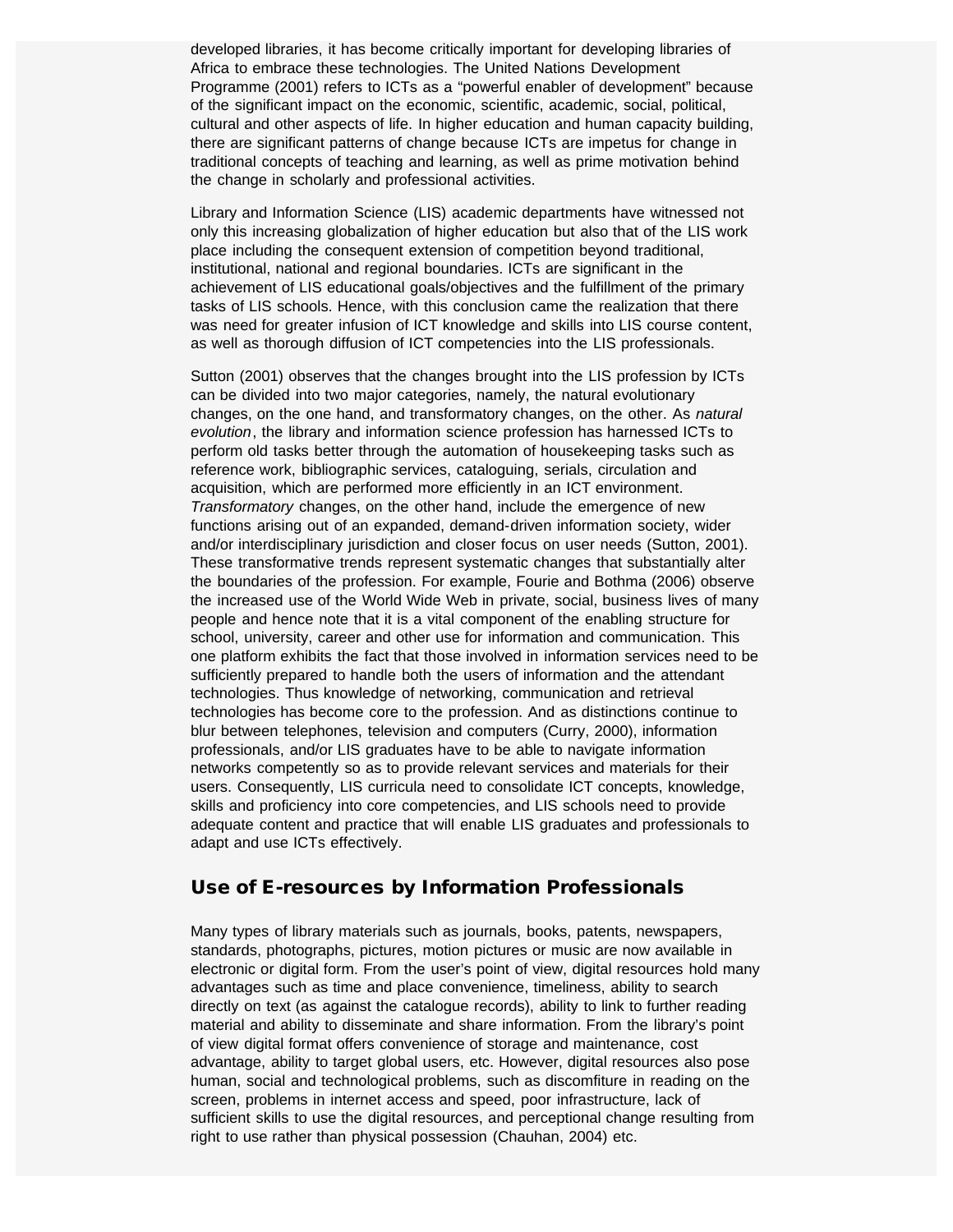developed libraries, it has become critically important for developing libraries of Africa to embrace these technologies. The United Nations Development Programme (2001) refers to ICTs as a "powerful enabler of development" because of the significant impact on the economic, scientific, academic, social, political, cultural and other aspects of life. In higher education and human capacity building, there are significant patterns of change because ICTs are impetus for change in traditional concepts of teaching and learning, as well as prime motivation behind the change in scholarly and professional activities.

Library and Information Science (LIS) academic departments have witnessed not only this increasing globalization of higher education but also that of the LIS work place including the consequent extension of competition beyond traditional, institutional, national and regional boundaries. ICTs are significant in the achievement of LIS educational goals/objectives and the fulfillment of the primary tasks of LIS schools. Hence, with this conclusion came the realization that there was need for greater infusion of ICT knowledge and skills into LIS course content, as well as thorough diffusion of ICT competencies into the LIS professionals.

Sutton (2001) observes that the changes brought into the LIS profession by ICTs can be divided into two major categories, namely, the natural evolutionary changes, on the one hand, and transformatory changes, on the other. As *natural evolution*, the library and information science profession has harnessed ICTs to perform old tasks better through the automation of housekeeping tasks such as reference work, bibliographic services, cataloguing, serials, circulation and acquisition, which are performed more efficiently in an ICT environment. *Transformatory* changes, on the other hand, include the emergence of new functions arising out of an expanded, demand-driven information society, wider and/or interdisciplinary jurisdiction and closer focus on user needs (Sutton, 2001). These transformative trends represent systematic changes that substantially alter the boundaries of the profession. For example, Fourie and Bothma (2006) observe the increased use of the World Wide Web in private, social, business lives of many people and hence note that it is a vital component of the enabling structure for school, university, career and other use for information and communication. This one platform exhibits the fact that those involved in information services need to be sufficiently prepared to handle both the users of information and the attendant technologies. Thus knowledge of networking, communication and retrieval technologies has become core to the profession. And as distinctions continue to blur between telephones, television and computers (Curry, 2000), information professionals, and/or LIS graduates have to be able to navigate information networks competently so as to provide relevant services and materials for their users. Consequently, LIS curricula need to consolidate ICT concepts, knowledge, skills and proficiency into core competencies, and LIS schools need to provide adequate content and practice that will enable LIS graduates and professionals to adapt and use ICTs effectively.

#### Use of E-resources by Information Professionals

Many types of library materials such as journals, books, patents, newspapers, standards, photographs, pictures, motion pictures or music are now available in electronic or digital form. From the user's point of view, digital resources hold many advantages such as time and place convenience, timeliness, ability to search directly on text (as against the catalogue records), ability to link to further reading material and ability to disseminate and share information. From the library's point of view digital format offers convenience of storage and maintenance, cost advantage, ability to target global users, etc. However, digital resources also pose human, social and technological problems, such as discomfiture in reading on the screen, problems in internet access and speed, poor infrastructure, lack of sufficient skills to use the digital resources, and perceptional change resulting from right to use rather than physical possession (Chauhan, 2004) etc.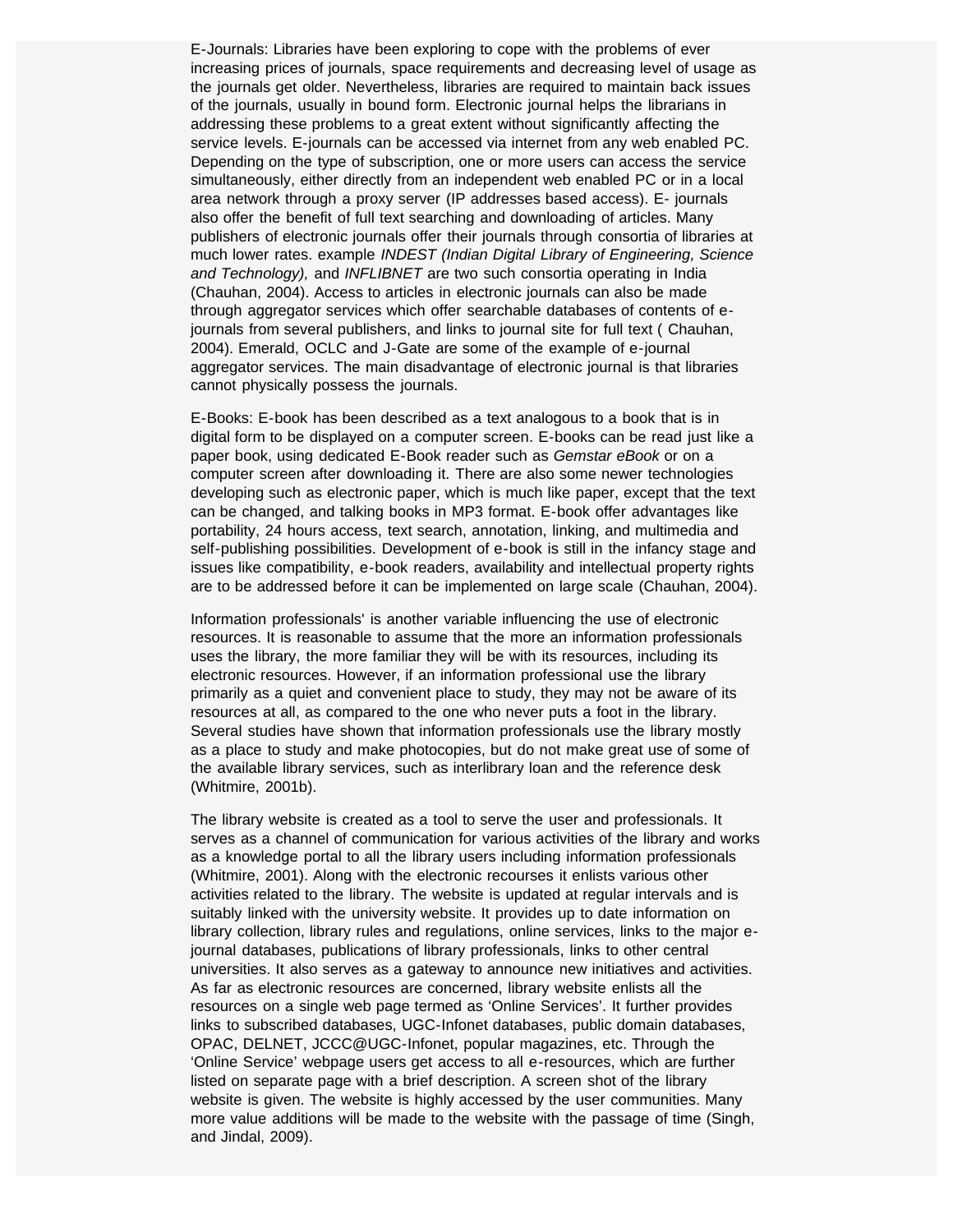E-Journals: Libraries have been exploring to cope with the problems of ever increasing prices of journals, space requirements and decreasing level of usage as the journals get older. Nevertheless, libraries are required to maintain back issues of the journals, usually in bound form. Electronic journal helps the librarians in addressing these problems to a great extent without significantly affecting the service levels. E-journals can be accessed via internet from any web enabled PC. Depending on the type of subscription, one or more users can access the service simultaneously, either directly from an independent web enabled PC or in a local area network through a proxy server (IP addresses based access). E- journals also offer the benefit of full text searching and downloading of articles. Many publishers of electronic journals offer their journals through consortia of libraries at much lower rates. example *INDEST (Indian Digital Library of Engineering, Science and Technology),* and *INFLIBNET* are two such consortia operating in India (Chauhan, 2004). Access to articles in electronic journals can also be made through aggregator services which offer searchable databases of contents of ejournals from several publishers, and links to journal site for full text ( Chauhan, 2004). Emerald, OCLC and J-Gate are some of the example of e-journal aggregator services. The main disadvantage of electronic journal is that libraries cannot physically possess the journals.

E-Books: E-book has been described as a text analogous to a book that is in digital form to be displayed on a computer screen. E-books can be read just like a paper book, using dedicated E-Book reader such as *Gemstar eBook* or on a computer screen after downloading it. There are also some newer technologies developing such as electronic paper, which is much like paper, except that the text can be changed, and talking books in MP3 format. E-book offer advantages like portability, 24 hours access, text search, annotation, linking, and multimedia and self-publishing possibilities. Development of e-book is still in the infancy stage and issues like compatibility, e-book readers, availability and intellectual property rights are to be addressed before it can be implemented on large scale (Chauhan, 2004).

Information professionals' is another variable influencing the use of electronic resources. It is reasonable to assume that the more an information professionals uses the library, the more familiar they will be with its resources, including its electronic resources. However, if an information professional use the library primarily as a quiet and convenient place to study, they may not be aware of its resources at all, as compared to the one who never puts a foot in the library. Several studies have shown that information professionals use the library mostly as a place to study and make photocopies, but do not make great use of some of the available library services, such as interlibrary loan and the reference desk (Whitmire, 2001b).

The library website is created as a tool to serve the user and professionals. It serves as a channel of communication for various activities of the library and works as a knowledge portal to all the library users including information professionals (Whitmire, 2001). Along with the electronic recourses it enlists various other activities related to the library. The website is updated at regular intervals and is suitably linked with the university website. It provides up to date information on library collection, library rules and regulations, online services, links to the major ejournal databases, publications of library professionals, links to other central universities. It also serves as a gateway to announce new initiatives and activities. As far as electronic resources are concerned, library website enlists all the resources on a single web page termed as 'Online Services'. It further provides links to subscribed databases, UGC-Infonet databases, public domain databases, OPAC, DELNET, JCCC@UGC-Infonet, popular magazines, etc. Through the 'Online Service' webpage users get access to all e-resources, which are further listed on separate page with a brief description. A screen shot of the library website is given. The website is highly accessed by the user communities. Many more value additions will be made to the website with the passage of time (Singh, and Jindal, 2009).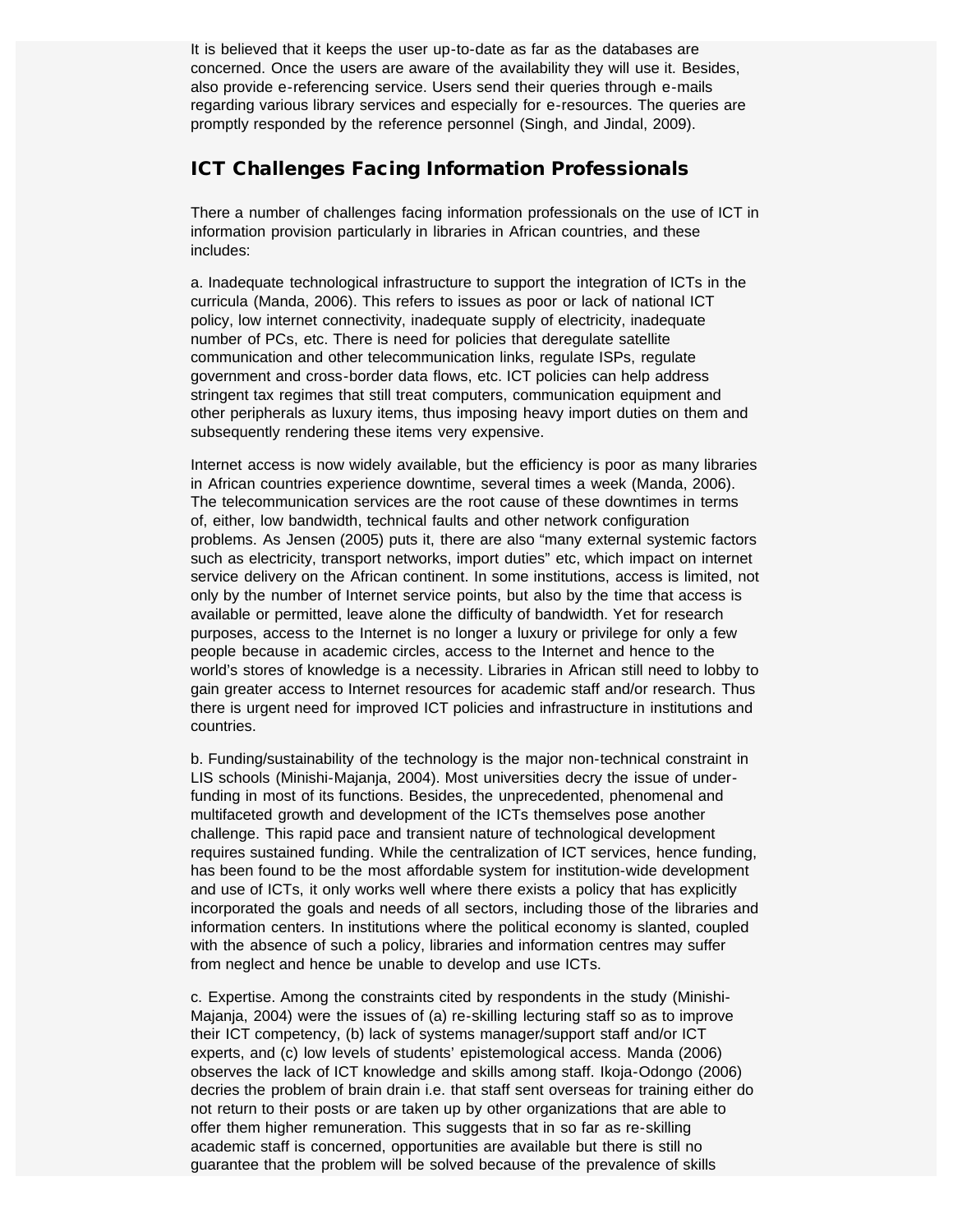It is believed that it keeps the user up-to-date as far as the databases are concerned. Once the users are aware of the availability they will use it. Besides, also provide e-referencing service. Users send their queries through e-mails regarding various library services and especially for e-resources. The queries are promptly responded by the reference personnel (Singh, and Jindal, 2009).

#### ICT Challenges Facing Information Professionals

There a number of challenges facing information professionals on the use of ICT in information provision particularly in libraries in African countries, and these includes:

a. Inadequate technological infrastructure to support the integration of ICTs in the curricula (Manda, 2006). This refers to issues as poor or lack of national ICT policy, low internet connectivity, inadequate supply of electricity, inadequate number of PCs, etc. There is need for policies that deregulate satellite communication and other telecommunication links, regulate ISPs, regulate government and cross-border data flows, etc. ICT policies can help address stringent tax regimes that still treat computers, communication equipment and other peripherals as luxury items, thus imposing heavy import duties on them and subsequently rendering these items very expensive.

Internet access is now widely available, but the efficiency is poor as many libraries in African countries experience downtime, several times a week (Manda, 2006). The telecommunication services are the root cause of these downtimes in terms of, either, low bandwidth, technical faults and other network configuration problems. As Jensen (2005) puts it, there are also "many external systemic factors such as electricity, transport networks, import duties" etc, which impact on internet service delivery on the African continent. In some institutions, access is limited, not only by the number of Internet service points, but also by the time that access is available or permitted, leave alone the difficulty of bandwidth. Yet for research purposes, access to the Internet is no longer a luxury or privilege for only a few people because in academic circles, access to the Internet and hence to the world's stores of knowledge is a necessity. Libraries in African still need to lobby to gain greater access to Internet resources for academic staff and/or research. Thus there is urgent need for improved ICT policies and infrastructure in institutions and countries.

b. Funding/sustainability of the technology is the major non-technical constraint in LIS schools (Minishi-Majanja, 2004). Most universities decry the issue of underfunding in most of its functions. Besides, the unprecedented, phenomenal and multifaceted growth and development of the ICTs themselves pose another challenge. This rapid pace and transient nature of technological development requires sustained funding. While the centralization of ICT services, hence funding, has been found to be the most affordable system for institution-wide development and use of ICTs, it only works well where there exists a policy that has explicitly incorporated the goals and needs of all sectors, including those of the libraries and information centers. In institutions where the political economy is slanted, coupled with the absence of such a policy, libraries and information centres may suffer from neglect and hence be unable to develop and use ICTs.

c. Expertise. Among the constraints cited by respondents in the study (Minishi-Majanja, 2004) were the issues of (a) re-skilling lecturing staff so as to improve their ICT competency, (b) lack of systems manager/support staff and/or ICT experts, and (c) low levels of students' epistemological access. Manda (2006) observes the lack of ICT knowledge and skills among staff. Ikoja-Odongo (2006) decries the problem of brain drain i.e. that staff sent overseas for training either do not return to their posts or are taken up by other organizations that are able to offer them higher remuneration. This suggests that in so far as re-skilling academic staff is concerned, opportunities are available but there is still no guarantee that the problem will be solved because of the prevalence of skills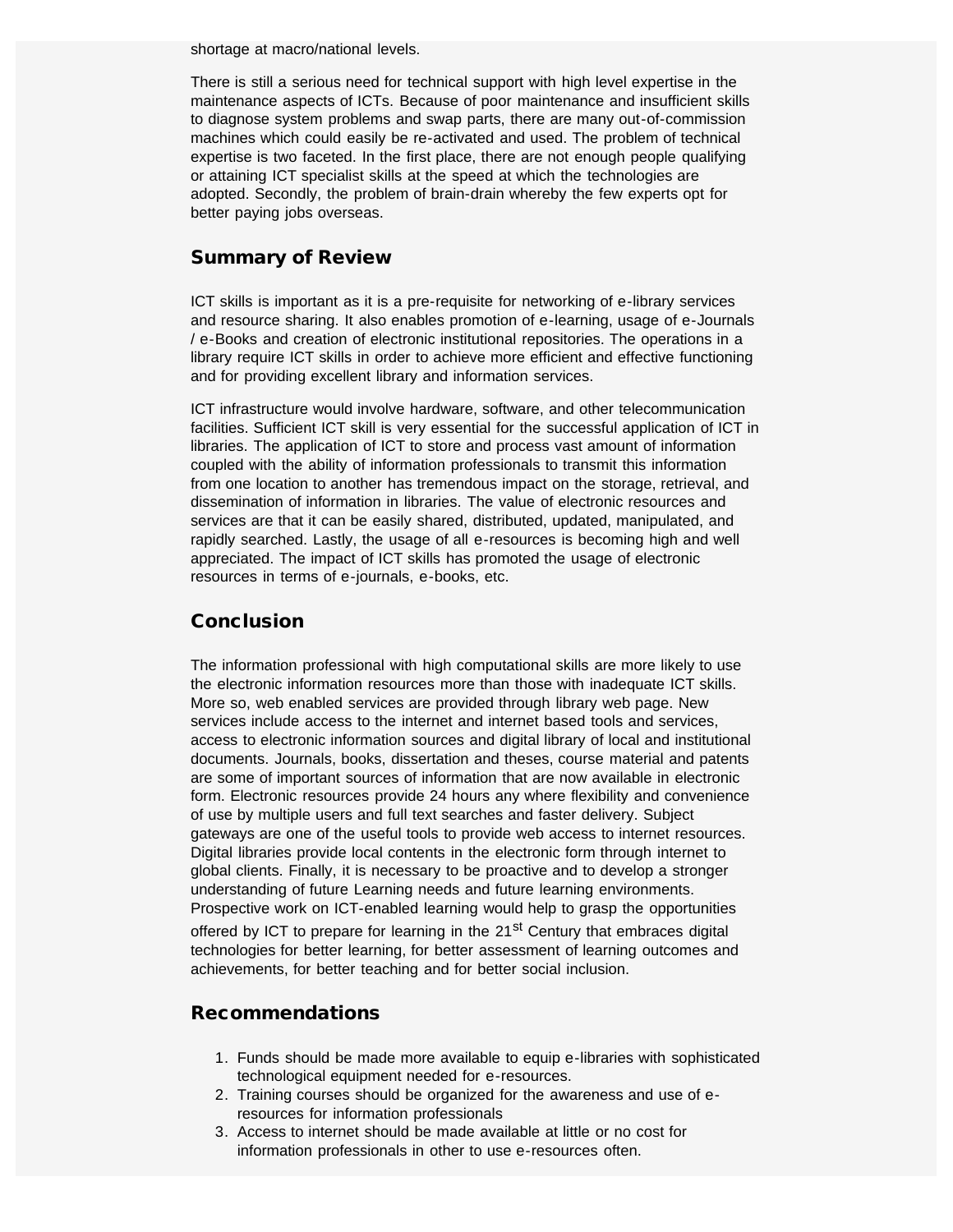shortage at macro/national levels.

There is still a serious need for technical support with high level expertise in the maintenance aspects of ICTs. Because of poor maintenance and insufficient skills to diagnose system problems and swap parts, there are many out-of-commission machines which could easily be re-activated and used. The problem of technical expertise is two faceted. In the first place, there are not enough people qualifying or attaining ICT specialist skills at the speed at which the technologies are adopted. Secondly, the problem of brain-drain whereby the few experts opt for better paying jobs overseas.

#### Summary of Review

ICT skills is important as it is a pre-requisite for networking of e-library services and resource sharing. It also enables promotion of e-learning, usage of e-Journals / e-Books and creation of electronic institutional repositories. The operations in a library require ICT skills in order to achieve more efficient and effective functioning and for providing excellent library and information services.

ICT infrastructure would involve hardware, software, and other telecommunication facilities. Sufficient ICT skill is very essential for the successful application of ICT in libraries. The application of ICT to store and process vast amount of information coupled with the ability of information professionals to transmit this information from one location to another has tremendous impact on the storage, retrieval, and dissemination of information in libraries. The value of electronic resources and services are that it can be easily shared, distributed, updated, manipulated, and rapidly searched. Lastly, the usage of all e-resources is becoming high and well appreciated. The impact of ICT skills has promoted the usage of electronic resources in terms of e-journals, e-books, etc.

#### **Conclusion**

The information professional with high computational skills are more likely to use the electronic information resources more than those with inadequate ICT skills. More so, web enabled services are provided through library web page. New services include access to the internet and internet based tools and services, access to electronic information sources and digital library of local and institutional documents. Journals, books, dissertation and theses, course material and patents are some of important sources of information that are now available in electronic form. Electronic resources provide 24 hours any where flexibility and convenience of use by multiple users and full text searches and faster delivery. Subject gateways are one of the useful tools to provide web access to internet resources. Digital libraries provide local contents in the electronic form through internet to global clients. Finally, it is necessary to be proactive and to develop a stronger understanding of future Learning needs and future learning environments. Prospective work on ICT-enabled learning would help to grasp the opportunities offered by ICT to prepare for learning in the  $21<sup>st</sup>$  Century that embraces digital technologies for better learning, for better assessment of learning outcomes and achievements, for better teaching and for better social inclusion.

#### Recommendations

- 1. Funds should be made more available to equip e-libraries with sophisticated technological equipment needed for e-resources.
- 2. Training courses should be organized for the awareness and use of eresources for information professionals
- 3. Access to internet should be made available at little or no cost for information professionals in other to use e-resources often.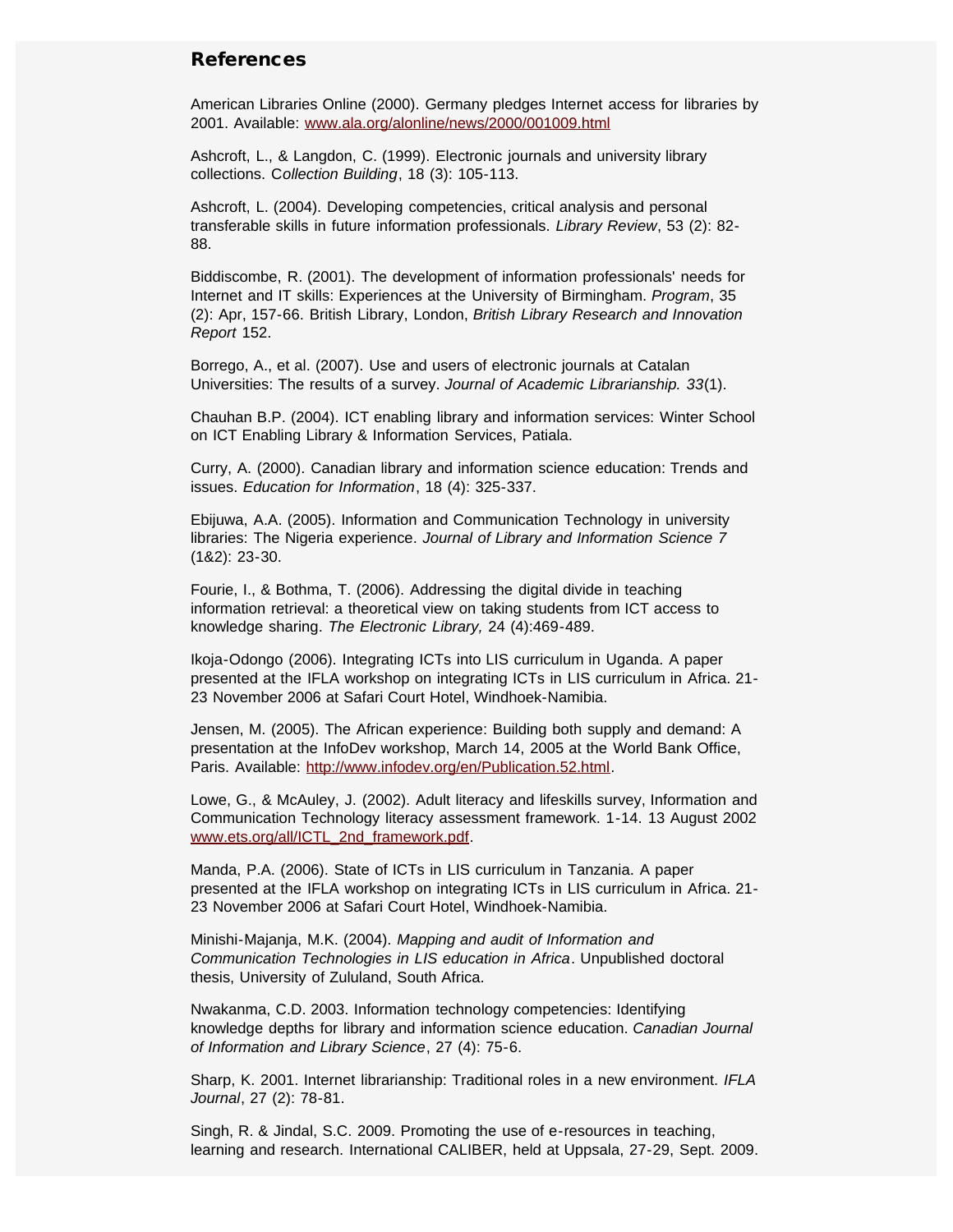#### References

American Libraries Online (2000). Germany pledges Internet access for libraries by 2001. Available: [www.ala.org/alonline/news/2000/001009.html](http://www.ala.org/alonline/news/2000/001009.html)

Ashcroft, L., & Langdon, C. (1999). Electronic journals and university library collections. C*ollection Building*, 18 (3): 105-113.

Ashcroft, L. (2004). Developing competencies, critical analysis and personal transferable skills in future information professionals. *Library Review*, 53 (2): 82- 88.

Biddiscombe, R. (2001). The development of information professionals' needs for Internet and IT skills: Experiences at the University of Birmingham. *Program*, 35 (2): Apr, 157-66. British Library, London, *British Library Research and Innovation Report* 152.

Borrego, A., et al. (2007). Use and users of electronic journals at Catalan Universities: The results of a survey. *Journal of Academic Librarianship. 33*(1).

Chauhan B.P. (2004). ICT enabling library and information services: Winter School on ICT Enabling Library & Information Services, Patiala.

Curry, A. (2000). Canadian library and information science education: Trends and issues. *Education for Information*, 18 (4): 325-337.

Ebijuwa, A.A. (2005). Information and Communication Technology in university libraries: The Nigeria experience. *Journal of Library and Information Science 7* (1&2): 23-30.

Fourie, I., & Bothma, T. (2006). Addressing the digital divide in teaching information retrieval: a theoretical view on taking students from ICT access to knowledge sharing. *The Electronic Library,* 24 (4):469-489.

Ikoja-Odongo (2006). Integrating ICTs into LIS curriculum in Uganda. A paper presented at the IFLA workshop on integrating ICTs in LIS curriculum in Africa. 21- 23 November 2006 at Safari Court Hotel, Windhoek-Namibia.

Jensen, M. (2005). The African experience: Building both supply and demand: A presentation at the InfoDev workshop, March 14, 2005 at the World Bank Office, Paris. Available: [http://www.infodev.org/en/Publication.52.html.](http://www.infodev.org/en/Publication.52.html)

Lowe, G., & McAuley, J. (2002). Adult literacy and lifeskills survey, Information and Communication Technology literacy assessment framework. 1-14. 13 August 2002 [www.ets.org/all/ICTL\\_2nd\\_framework.pdf.](http://www.ets.org/all/ICTL_2nd_framework.pdf)

Manda, P.A. (2006). State of ICTs in LIS curriculum in Tanzania. A paper presented at the IFLA workshop on integrating ICTs in LIS curriculum in Africa. 21- 23 November 2006 at Safari Court Hotel, Windhoek-Namibia.

Minishi-Majanja, M.K. (2004). *Mapping and audit of Information and Communication Technologies in LIS education in Africa*. Unpublished doctoral thesis, University of Zululand, South Africa.

Nwakanma, C.D. 2003. Information technology competencies: Identifying knowledge depths for library and information science education. *Canadian Journal of Information and Library Science*, 27 (4): 75-6.

Sharp, K. 2001. Internet librarianship: Traditional roles in a new environment. *IFLA Journal*, 27 (2): 78-81.

Singh, R. & Jindal, S.C. 2009. Promoting the use of e-resources in teaching, learning and research. International CALIBER, held at Uppsala, 27-29, Sept. 2009.